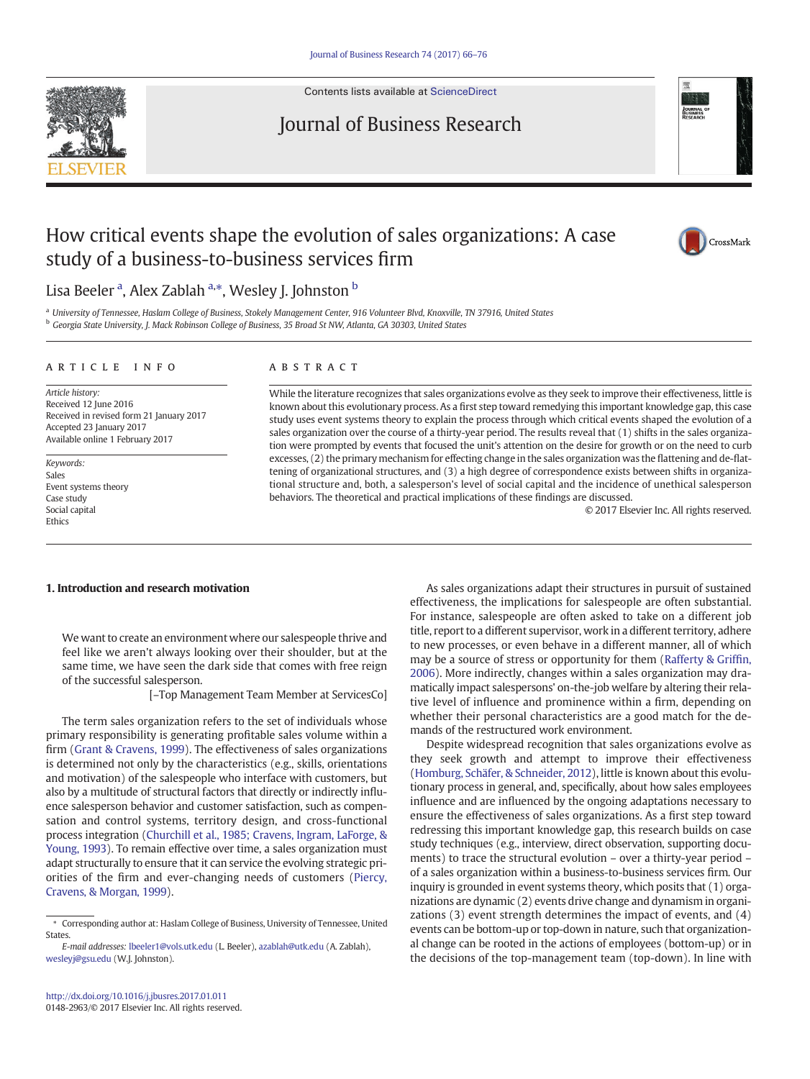

Contents lists available at [ScienceDirect](http://www.sciencedirect.com/science/journal/01482963)

# Journal of Business Research



# How critical events shape the evolution of sales organizations: A case study of a business-to-business services firm



# Lisa Beeler <sup>a</sup>, Alex Zablah <sup>a,</sup>\*, Wesley J. Johnston <sup>b</sup>

a University of Tennessee, Haslam College of Business, Stokely Management Center, 916 Volunteer Blvd, Knoxville, TN 37916, United States <sup>b</sup> Georgia State University, J. Mack Robinson College of Business, 35 Broad St NW, Atlanta, GA 30303, United States

#### article info abstract

Article history: Received 12 June 2016 Received in revised form 21 January 2017 Accepted 23 January 2017 Available online 1 February 2017

Keywords: Sales Event systems theory Case study Social capital Ethics

While the literature recognizes that sales organizations evolve as they seek to improve their effectiveness, little is known about this evolutionary process. As a first step toward remedying this important knowledge gap, this case study uses event systems theory to explain the process through which critical events shaped the evolution of a sales organization over the course of a thirty-year period. The results reveal that (1) shifts in the sales organization were prompted by events that focused the unit's attention on the desire for growth or on the need to curb excesses, (2) the primary mechanism for effecting change in the sales organization was the flattening and de-flattening of organizational structures, and (3) a high degree of correspondence exists between shifts in organizational structure and, both, a salesperson's level of social capital and the incidence of unethical salesperson behaviors. The theoretical and practical implications of these findings are discussed.

© 2017 Elsevier Inc. All rights reserved.

# 1. Introduction and research motivation

We want to create an environment where our salespeople thrive and feel like we aren't always looking over their shoulder, but at the same time, we have seen the dark side that comes with free reign of the successful salesperson.

[–Top Management Team Member at ServicesCo]

The term sales organization refers to the set of individuals whose primary responsibility is generating profitable sales volume within a firm ([Grant & Cravens, 1999\)](#page-9-0). The effectiveness of sales organizations is determined not only by the characteristics (e.g., skills, orientations and motivation) of the salespeople who interface with customers, but also by a multitude of structural factors that directly or indirectly influence salesperson behavior and customer satisfaction, such as compensation and control systems, territory design, and cross-functional process integration ([Churchill et al., 1985; Cravens, Ingram, LaForge, &](#page-9-0) [Young, 1993](#page-9-0)). To remain effective over time, a sales organization must adapt structurally to ensure that it can service the evolving strategic priorities of the firm and ever-changing needs of customers [\(Piercy,](#page-10-0) [Cravens, & Morgan, 1999](#page-10-0)).

As sales organizations adapt their structures in pursuit of sustained effectiveness, the implications for salespeople are often substantial. For instance, salespeople are often asked to take on a different job title, report to a different supervisor, work in a different territory, adhere to new processes, or even behave in a different manner, all of which may be a source of stress or opportunity for them ([Rafferty & Grif](#page-10-0)fin, [2006\)](#page-10-0). More indirectly, changes within a sales organization may dramatically impact salespersons' on-the-job welfare by altering their relative level of influence and prominence within a firm, depending on whether their personal characteristics are a good match for the demands of the restructured work environment.

Despite widespread recognition that sales organizations evolve as they seek growth and attempt to improve their effectiveness [\(Homburg, Schäfer, & Schneider, 2012](#page-9-0)), little is known about this evolutionary process in general, and, specifically, about how sales employees influence and are influenced by the ongoing adaptations necessary to ensure the effectiveness of sales organizations. As a first step toward redressing this important knowledge gap, this research builds on case study techniques (e.g., interview, direct observation, supporting documents) to trace the structural evolution – over a thirty-year period – of a sales organization within a business-to-business services firm. Our inquiry is grounded in event systems theory, which posits that (1) organizations are dynamic (2) events drive change and dynamism in organizations (3) event strength determines the impact of events, and (4) events can be bottom-up or top-down in nature, such that organizational change can be rooted in the actions of employees (bottom-up) or in the decisions of the top-management team (top-down). In line with

<sup>⁎</sup> Corresponding author at: Haslam College of Business, University of Tennessee, United **States** 

E-mail addresses: lbeeler1@vols.utk.edu (L. Beeler), azablah@utk.edu (A. Zablah), [wesleyj@gsu.edu](mailto:wesleyj@gsu.edu) (W.J. Johnston).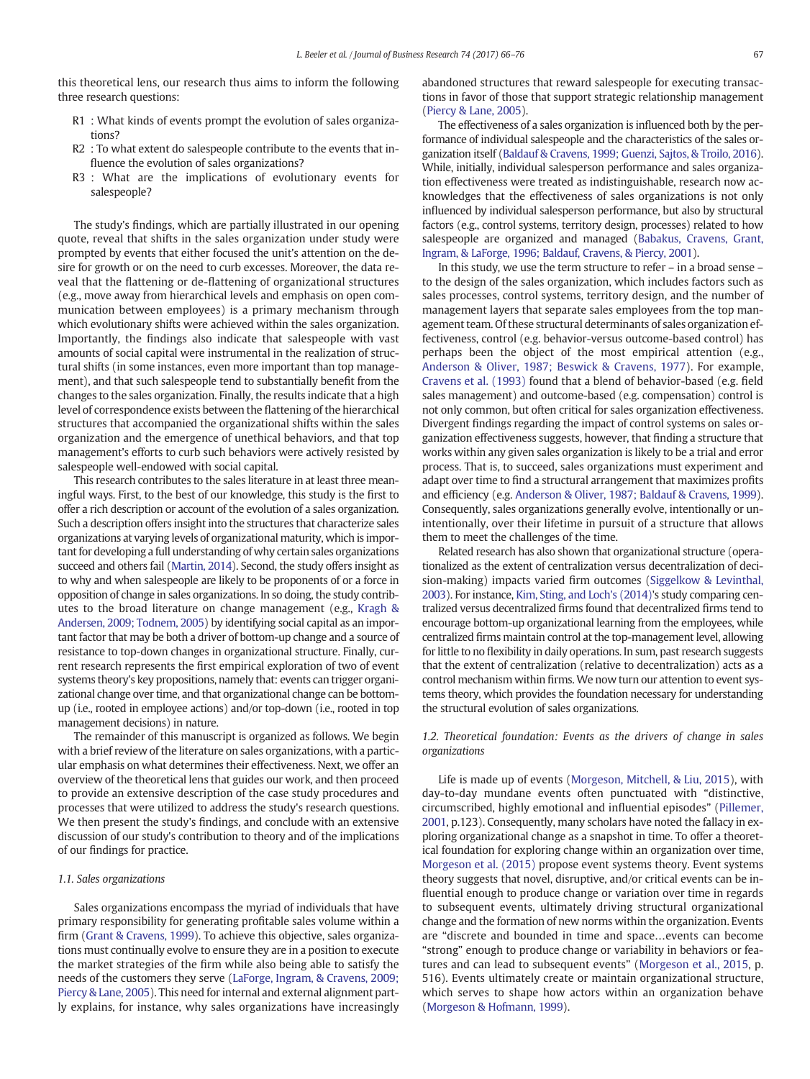this theoretical lens, our research thus aims to inform the following three research questions:

- R1 : What kinds of events prompt the evolution of sales organizations?
- R2 : To what extent do salespeople contribute to the events that influence the evolution of sales organizations?
- R3 : What are the implications of evolutionary events for salespeople?

The study's findings, which are partially illustrated in our opening quote, reveal that shifts in the sales organization under study were prompted by events that either focused the unit's attention on the desire for growth or on the need to curb excesses. Moreover, the data reveal that the flattening or de-flattening of organizational structures (e.g., move away from hierarchical levels and emphasis on open communication between employees) is a primary mechanism through which evolutionary shifts were achieved within the sales organization. Importantly, the findings also indicate that salespeople with vast amounts of social capital were instrumental in the realization of structural shifts (in some instances, even more important than top management), and that such salespeople tend to substantially benefit from the changes to the sales organization. Finally, the results indicate that a high level of correspondence exists between the flattening of the hierarchical structures that accompanied the organizational shifts within the sales organization and the emergence of unethical behaviors, and that top management's efforts to curb such behaviors were actively resisted by salespeople well-endowed with social capital.

This research contributes to the sales literature in at least three meaningful ways. First, to the best of our knowledge, this study is the first to offer a rich description or account of the evolution of a sales organization. Such a description offers insight into the structures that characterize sales organizations at varying levels of organizational maturity, which is important for developing a full understanding of why certain sales organizations succeed and others fail [\(Martin, 2014](#page-10-0)). Second, the study offers insight as to why and when salespeople are likely to be proponents of or a force in opposition of change in sales organizations. In so doing, the study contributes to the broad literature on change management (e.g., [Kragh &](#page-9-0) [Andersen, 2009; Todnem, 2005](#page-9-0)) by identifying social capital as an important factor that may be both a driver of bottom-up change and a source of resistance to top-down changes in organizational structure. Finally, current research represents the first empirical exploration of two of event systems theory's key propositions, namely that: events can trigger organizational change over time, and that organizational change can be bottomup (i.e., rooted in employee actions) and/or top-down (i.e., rooted in top management decisions) in nature.

The remainder of this manuscript is organized as follows. We begin with a brief review of the literature on sales organizations, with a particular emphasis on what determines their effectiveness. Next, we offer an overview of the theoretical lens that guides our work, and then proceed to provide an extensive description of the case study procedures and processes that were utilized to address the study's research questions. We then present the study's findings, and conclude with an extensive discussion of our study's contribution to theory and of the implications of our findings for practice.

#### 1.1. Sales organizations

Sales organizations encompass the myriad of individuals that have primary responsibility for generating profitable sales volume within a firm [\(Grant & Cravens, 1999\)](#page-9-0). To achieve this objective, sales organizations must continually evolve to ensure they are in a position to execute the market strategies of the firm while also being able to satisfy the needs of the customers they serve [\(LaForge, Ingram, & Cravens, 2009;](#page-9-0) [Piercy & Lane, 2005](#page-9-0)). This need for internal and external alignment partly explains, for instance, why sales organizations have increasingly abandoned structures that reward salespeople for executing transactions in favor of those that support strategic relationship management [\(Piercy & Lane, 2005](#page-10-0)).

The effectiveness of a sales organization is influenced both by the performance of individual salespeople and the characteristics of the sales organization itself [\(Baldauf & Cravens, 1999; Guenzi, Sajtos, & Troilo, 2016](#page-9-0)). While, initially, individual salesperson performance and sales organization effectiveness were treated as indistinguishable, research now acknowledges that the effectiveness of sales organizations is not only influenced by individual salesperson performance, but also by structural factors (e.g., control systems, territory design, processes) related to how salespeople are organized and managed [\(Babakus, Cravens, Grant,](#page-9-0) [Ingram, & LaForge, 1996; Baldauf, Cravens,](#page-9-0) & Piercy, 2001).

In this study, we use the term structure to refer – in a broad sense – to the design of the sales organization, which includes factors such as sales processes, control systems, territory design, and the number of management layers that separate sales employees from the top management team. Of these structural determinants of sales organization effectiveness, control (e.g. behavior-versus outcome-based control) has perhaps been the object of the most empirical attention (e.g., [Anderson & Oliver, 1987; Beswick & Cravens, 1977\)](#page-9-0). For example, [Cravens et al. \(1993\)](#page-9-0) found that a blend of behavior-based (e.g. field sales management) and outcome-based (e.g. compensation) control is not only common, but often critical for sales organization effectiveness. Divergent findings regarding the impact of control systems on sales organization effectiveness suggests, however, that finding a structure that works within any given sales organization is likely to be a trial and error process. That is, to succeed, sales organizations must experiment and adapt over time to find a structural arrangement that maximizes profits and efficiency (e.g. [Anderson & Oliver, 1987; Baldauf & Cravens, 1999](#page-9-0)). Consequently, sales organizations generally evolve, intentionally or unintentionally, over their lifetime in pursuit of a structure that allows them to meet the challenges of the time.

Related research has also shown that organizational structure (operationalized as the extent of centralization versus decentralization of decision-making) impacts varied firm outcomes [\(Siggelkow & Levinthal,](#page-10-0) [2003\)](#page-10-0). For instance, [Kim, Sting, and Loch's \(2014\)](#page-9-0)'s study comparing centralized versus decentralized firms found that decentralized firms tend to encourage bottom-up organizational learning from the employees, while centralized firms maintain control at the top-management level, allowing for little to no flexibility in daily operations. In sum, past research suggests that the extent of centralization (relative to decentralization) acts as a control mechanism within firms. We now turn our attention to event systems theory, which provides the foundation necessary for understanding the structural evolution of sales organizations.

## 1.2. Theoretical foundation: Events as the drivers of change in sales organizations

Life is made up of events ([Morgeson, Mitchell, & Liu, 2015\)](#page-10-0), with day-to-day mundane events often punctuated with "distinctive, circumscribed, highly emotional and influential episodes" ([Pillemer,](#page-10-0) [2001](#page-10-0), p.123). Consequently, many scholars have noted the fallacy in exploring organizational change as a snapshot in time. To offer a theoretical foundation for exploring change within an organization over time, [Morgeson et al. \(2015\)](#page-10-0) propose event systems theory. Event systems theory suggests that novel, disruptive, and/or critical events can be influential enough to produce change or variation over time in regards to subsequent events, ultimately driving structural organizational change and the formation of new norms within the organization. Events are "discrete and bounded in time and space…events can become "strong" enough to produce change or variability in behaviors or features and can lead to subsequent events" [\(Morgeson et al., 2015](#page-10-0), p. 516). Events ultimately create or maintain organizational structure, which serves to shape how actors within an organization behave [\(Morgeson & Hofmann, 1999\)](#page-10-0).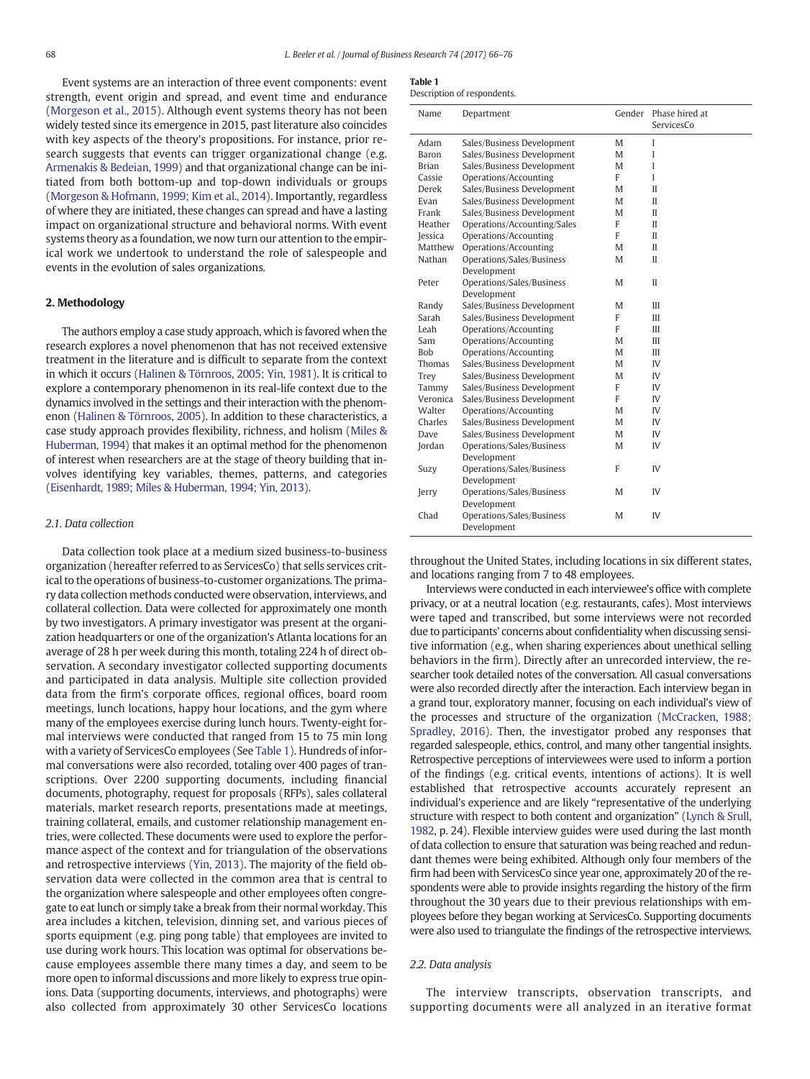Event systems are an interaction of three event components: event strength, event origin and spread, and event time and endurance [\(Morgeson et al., 2015](#page-10-0)). Although event systems theory has not been widely tested since its emergence in 2015, past literature also coincides with key aspects of the theory's propositions. For instance, prior research suggests that events can trigger organizational change (e.g. [Armenakis & Bedeian, 1999\)](#page-9-0) and that organizational change can be initiated from both bottom-up and top-down individuals or groups [\(Morgeson & Hofmann, 1999; Kim et al., 2014\)](#page-10-0). Importantly, regardless of where they are initiated, these changes can spread and have a lasting impact on organizational structure and behavioral norms. With event systems theory as a foundation, we now turn our attention to the empirical work we undertook to understand the role of salespeople and events in the evolution of sales organizations.

#### 2. Methodology

The authors employ a case study approach, which is favored when the research explores a novel phenomenon that has not received extensive treatment in the literature and is difficult to separate from the context in which it occurs [\(Halinen & Törnroos, 2005; Yin, 1981\)](#page-9-0). It is critical to explore a contemporary phenomenon in its real-life context due to the dynamics involved in the settings and their interaction with the phenomenon [\(Halinen & Törnroos, 2005\)](#page-9-0). In addition to these characteristics, a case study approach provides flexibility, richness, and holism ([Miles &](#page-10-0) [Huberman, 1994\)](#page-10-0) that makes it an optimal method for the phenomenon of interest when researchers are at the stage of theory building that involves identifying key variables, themes, patterns, and categories [\(Eisenhardt, 1989; Miles & Huberman, 1994; Yin, 2013\)](#page-9-0).

#### 2.1. Data collection

Data collection took place at a medium sized business-to-business organization (hereafter referred to as ServicesCo) that sells services critical to the operations of business-to-customer organizations. The primary data collection methods conducted were observation, interviews, and collateral collection. Data were collected for approximately one month by two investigators. A primary investigator was present at the organization headquarters or one of the organization's Atlanta locations for an average of 28 h per week during this month, totaling 224 h of direct observation. A secondary investigator collected supporting documents and participated in data analysis. Multiple site collection provided data from the firm's corporate offices, regional offices, board room meetings, lunch locations, happy hour locations, and the gym where many of the employees exercise during lunch hours. Twenty-eight formal interviews were conducted that ranged from 15 to 75 min long with a variety of ServicesCo employees (See Table 1). Hundreds of informal conversations were also recorded, totaling over 400 pages of transcriptions. Over 2200 supporting documents, including financial documents, photography, request for proposals (RFPs), sales collateral materials, market research reports, presentations made at meetings, training collateral, emails, and customer relationship management entries, were collected. These documents were used to explore the performance aspect of the context and for triangulation of the observations and retrospective interviews [\(Yin, 2013](#page-10-0)). The majority of the field observation data were collected in the common area that is central to the organization where salespeople and other employees often congregate to eat lunch or simply take a break from their normal workday. This area includes a kitchen, television, dinning set, and various pieces of sports equipment (e.g. ping pong table) that employees are invited to use during work hours. This location was optimal for observations because employees assemble there many times a day, and seem to be more open to informal discussions and more likely to express true opinions. Data (supporting documents, interviews, and photographs) were also collected from approximately 30 other ServicesCo locations

| $\sim$<br>. . |  |
|---------------|--|
|---------------|--|

| Name           | Department                  | Gender | Phase hired at<br>ServicesCo |
|----------------|-----------------------------|--------|------------------------------|
| Adam           | Sales/Business Development  | M      | I                            |
| Baron          | Sales/Business Development  | M      | I                            |
| Brian          | Sales/Business Development  | M      | I                            |
| Cassie         | Operations/Accounting       | F      | I                            |
| Derek          | Sales/Business Development  | M      | $_{\rm II}$                  |
| Evan           | Sales/Business Development  | M      | $_{\rm II}$                  |
| Frank          | Sales/Business Development  | M      | $_{\rm II}$                  |
| Heather        | Operations/Accounting/Sales | F      | $_{\rm II}$                  |
| <b>Iessica</b> | Operations/Accounting       | F      | $_{\rm II}$                  |
| Matthew        | Operations/Accounting       | M      | $\mathbf{H}$                 |
| Nathan         | Operations/Sales/Business   | M      | $_{\rm II}$                  |
|                | Development                 |        |                              |
| Peter          | Operations/Sales/Business   | M      | $_{\rm II}$                  |
|                | Development                 |        |                              |
| Randy          | Sales/Business Development  | M      | Ш                            |
| Sarah          | Sales/Business Development  | F      | III                          |
| Leah           | Operations/Accounting       | F      | Ш                            |
| Sam            | Operations/Accounting       | M      | Ш                            |
| <b>Bob</b>     | Operations/Accounting       | М      | Ш                            |
| Thomas         | Sales/Business Development  | M      | IV                           |
| Trey           | Sales/Business Development  | M      | IV                           |
| Tammy          | Sales/Business Development  | F      | IV                           |
| Veronica       | Sales/Business Development  | F      | IV                           |
| Walter         | Operations/Accounting       | M      | IV                           |
| Charles        | Sales/Business Development  | M      | IV                           |
| Dave           | Sales/Business Development  | M      | IV                           |
| Jordan         | Operations/Sales/Business   | M      | IV                           |
|                | Development                 |        |                              |
| Suzy           | Operations/Sales/Business   | F      | IV                           |
|                | Development                 |        |                              |
| Jerry          | Operations/Sales/Business   | M      | IV                           |
|                | Development                 |        |                              |
| Chad           | Operations/Sales/Business   | M      | IV                           |
|                | Development                 |        |                              |

throughout the United States, including locations in six different states, and locations ranging from 7 to 48 employees.

Interviews were conducted in each interviewee's office with complete privacy, or at a neutral location (e.g. restaurants, cafes). Most interviews were taped and transcribed, but some interviews were not recorded due to participants' concerns about confidentiality when discussing sensitive information (e.g., when sharing experiences about unethical selling behaviors in the firm). Directly after an unrecorded interview, the researcher took detailed notes of the conversation. All casual conversations were also recorded directly after the interaction. Each interview began in a grand tour, exploratory manner, focusing on each individual's view of the processes and structure of the organization ([McCracken, 1988;](#page-10-0) [Spradley, 2016\)](#page-10-0). Then, the investigator probed any responses that regarded salespeople, ethics, control, and many other tangential insights. Retrospective perceptions of interviewees were used to inform a portion of the findings (e.g. critical events, intentions of actions). It is well established that retrospective accounts accurately represent an individual's experience and are likely "representative of the underlying structure with respect to both content and organization" ([Lynch & Srull,](#page-9-0) [1982](#page-9-0), p. 24). Flexible interview guides were used during the last month of data collection to ensure that saturation was being reached and redundant themes were being exhibited. Although only four members of the firm had been with ServicesCo since year one, approximately 20 of the respondents were able to provide insights regarding the history of the firm throughout the 30 years due to their previous relationships with employees before they began working at ServicesCo. Supporting documents were also used to triangulate the findings of the retrospective interviews.

#### 2.2. Data analysis

The interview transcripts, observation transcripts, and supporting documents were all analyzed in an iterative format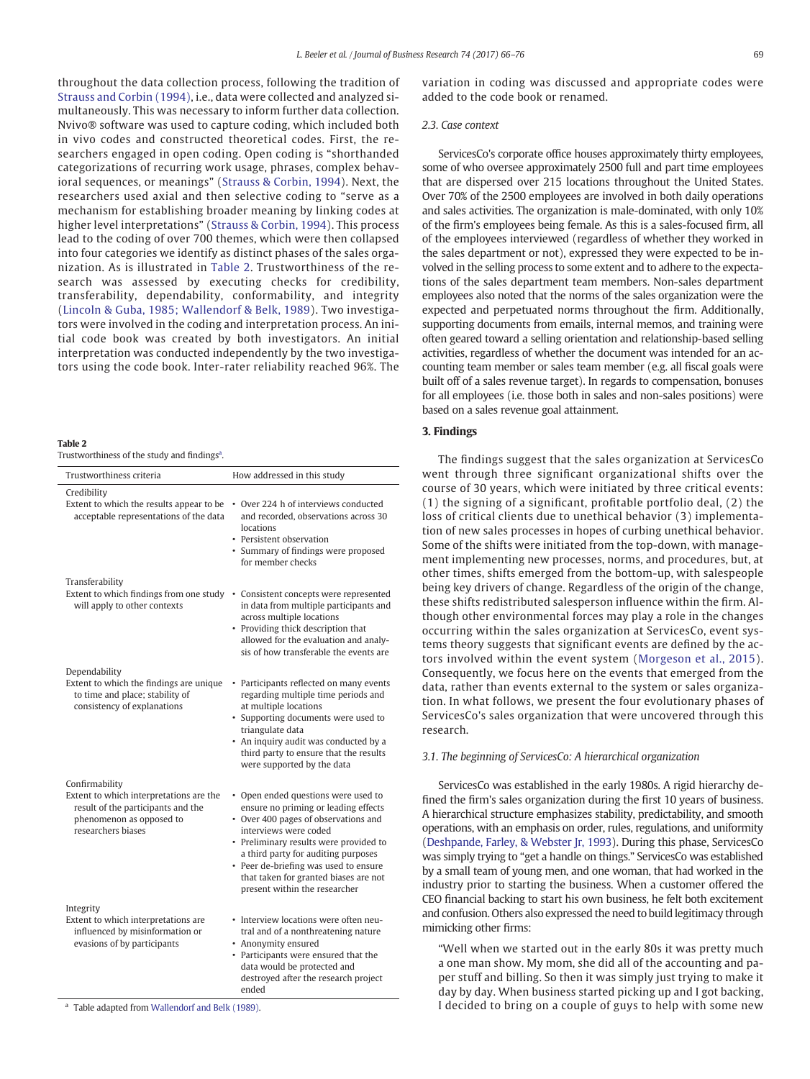throughout the data collection process, following the tradition of [Strauss and Corbin \(1994\)](#page-10-0), i.e., data were collected and analyzed simultaneously. This was necessary to inform further data collection. Nvivo® software was used to capture coding, which included both in vivo codes and constructed theoretical codes. First, the researchers engaged in open coding. Open coding is "shorthanded categorizations of recurring work usage, phrases, complex behavioral sequences, or meanings" ([Strauss & Corbin, 1994\)](#page-10-0). Next, the researchers used axial and then selective coding to "serve as a mechanism for establishing broader meaning by linking codes at higher level interpretations" ([Strauss & Corbin, 1994](#page-10-0)). This process lead to the coding of over 700 themes, which were then collapsed into four categories we identify as distinct phases of the sales organization. As is illustrated in Table 2. Trustworthiness of the research was assessed by executing checks for credibility, transferability, dependability, conformability, and integrity [\(Lincoln & Guba, 1985; Wallendorf & Belk, 1989](#page-9-0)). Two investigators were involved in the coding and interpretation process. An initial code book was created by both investigators. An initial interpretation was conducted independently by the two investigators using the code book. Inter-rater reliability reached 96%. The

#### Table 2

Trustworthiness of the study and findings<sup>a</sup>

| Frustworthiness of the study and findings <sup>a</sup> .                                                                                          |                                                                                                                                                                                                                                                                                                                                                  |  |  |  |
|---------------------------------------------------------------------------------------------------------------------------------------------------|--------------------------------------------------------------------------------------------------------------------------------------------------------------------------------------------------------------------------------------------------------------------------------------------------------------------------------------------------|--|--|--|
| Trustworthiness criteria                                                                                                                          | How addressed in this study                                                                                                                                                                                                                                                                                                                      |  |  |  |
| Credibility<br>Extent to which the results appear to be<br>acceptable representations of the data                                                 | • Over 224 h of interviews conducted<br>and recorded, observations across 30<br>locations<br>• Persistent observation<br>• Summary of findings were proposed<br>for member checks                                                                                                                                                                |  |  |  |
| Transferability<br>Extent to which findings from one study<br>will apply to other contexts                                                        | • Consistent concepts were represented<br>in data from multiple participants and<br>across multiple locations<br>• Providing thick description that<br>allowed for the evaluation and analy-<br>sis of how transferable the events are                                                                                                           |  |  |  |
| Dependability<br>Extent to which the findings are unique<br>to time and place; stability of<br>consistency of explanations                        | • Participants reflected on many events<br>regarding multiple time periods and<br>at multiple locations<br>• Supporting documents were used to<br>triangulate data<br>• An inquiry audit was conducted by a<br>third party to ensure that the results<br>were supported by the data                                                              |  |  |  |
| Confirmability<br>Extent to which interpretations are the<br>result of the participants and the<br>phenomenon as opposed to<br>researchers biases | • Open ended questions were used to<br>ensure no priming or leading effects<br>• Over 400 pages of observations and<br>interviews were coded<br>• Preliminary results were provided to<br>a third party for auditing purposes<br>• Peer de-briefing was used to ensure<br>that taken for granted biases are not<br>present within the researcher |  |  |  |
| Integrity<br>Extent to which interpretations are<br>influenced by misinformation or<br>evasions of by participants                                | • Interview locations were often neu-<br>tral and of a nonthreatening nature<br>• Anonymity ensured<br>• Participants were ensured that the<br>data would be protected and<br>destroyed after the research project<br>ended                                                                                                                      |  |  |  |

Table adapted from [Wallendorf and Belk \(1989\)](#page-10-0).

variation in coding was discussed and appropriate codes were added to the code book or renamed.

#### 2.3. Case context

ServicesCo's corporate office houses approximately thirty employees, some of who oversee approximately 2500 full and part time employees that are dispersed over 215 locations throughout the United States. Over 70% of the 2500 employees are involved in both daily operations and sales activities. The organization is male-dominated, with only 10% of the firm's employees being female. As this is a sales-focused firm, all of the employees interviewed (regardless of whether they worked in the sales department or not), expressed they were expected to be involved in the selling process to some extent and to adhere to the expectations of the sales department team members. Non-sales department employees also noted that the norms of the sales organization were the expected and perpetuated norms throughout the firm. Additionally, supporting documents from emails, internal memos, and training were often geared toward a selling orientation and relationship-based selling activities, regardless of whether the document was intended for an accounting team member or sales team member (e.g. all fiscal goals were built off of a sales revenue target). In regards to compensation, bonuses for all employees (i.e. those both in sales and non-sales positions) were based on a sales revenue goal attainment.

## 3. Findings

The findings suggest that the sales organization at ServicesCo went through three significant organizational shifts over the course of 30 years, which were initiated by three critical events: (1) the signing of a significant, profitable portfolio deal, (2) the loss of critical clients due to unethical behavior (3) implementation of new sales processes in hopes of curbing unethical behavior. Some of the shifts were initiated from the top-down, with management implementing new processes, norms, and procedures, but, at other times, shifts emerged from the bottom-up, with salespeople being key drivers of change. Regardless of the origin of the change, these shifts redistributed salesperson influence within the firm. Although other environmental forces may play a role in the changes occurring within the sales organization at ServicesCo, event systems theory suggests that significant events are defined by the actors involved within the event system ([Morgeson et al., 2015\)](#page-10-0). Consequently, we focus here on the events that emerged from the data, rather than events external to the system or sales organization. In what follows, we present the four evolutionary phases of ServicesCo's sales organization that were uncovered through this research.

#### 3.1. The beginning of ServicesCo: A hierarchical organization

ServicesCo was established in the early 1980s. A rigid hierarchy defined the firm's sales organization during the first 10 years of business. A hierarchical structure emphasizes stability, predictability, and smooth operations, with an emphasis on order, rules, regulations, and uniformity [\(Deshpande, Farley, & Webster Jr, 1993\)](#page-9-0). During this phase, ServicesCo was simply trying to "get a handle on things." ServicesCo was established by a small team of young men, and one woman, that had worked in the industry prior to starting the business. When a customer offered the CEO financial backing to start his own business, he felt both excitement and confusion. Others also expressed the need to build legitimacy through mimicking other firms:

"Well when we started out in the early 80s it was pretty much a one man show. My mom, she did all of the accounting and paper stuff and billing. So then it was simply just trying to make it day by day. When business started picking up and I got backing, I decided to bring on a couple of guys to help with some new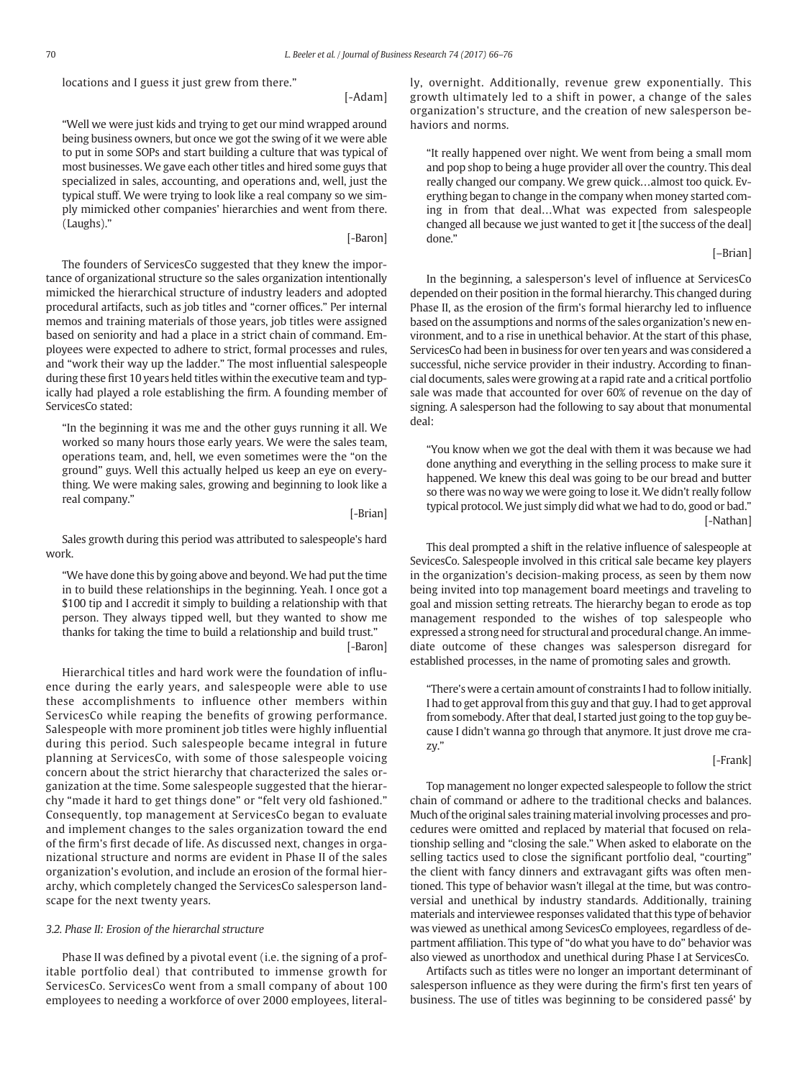locations and I guess it just grew from there."

[-Adam]

"Well we were just kids and trying to get our mind wrapped around being business owners, but once we got the swing of it we were able to put in some SOPs and start building a culture that was typical of most businesses. We gave each other titles and hired some guys that specialized in sales, accounting, and operations and, well, just the typical stuff. We were trying to look like a real company so we simply mimicked other companies' hierarchies and went from there. (Laughs)."

[-Baron]

The founders of ServicesCo suggested that they knew the importance of organizational structure so the sales organization intentionally mimicked the hierarchical structure of industry leaders and adopted procedural artifacts, such as job titles and "corner offices." Per internal memos and training materials of those years, job titles were assigned based on seniority and had a place in a strict chain of command. Employees were expected to adhere to strict, formal processes and rules, and "work their way up the ladder." The most influential salespeople during these first 10 years held titles within the executive team and typically had played a role establishing the firm. A founding member of ServicesCo stated:

"In the beginning it was me and the other guys running it all. We worked so many hours those early years. We were the sales team, operations team, and, hell, we even sometimes were the "on the ground" guys. Well this actually helped us keep an eye on everything. We were making sales, growing and beginning to look like a real company."

[-Brian]

Sales growth during this period was attributed to salespeople's hard work.

"We have done this by going above and beyond. We had put the time in to build these relationships in the beginning. Yeah. I once got a \$100 tip and I accredit it simply to building a relationship with that person. They always tipped well, but they wanted to show me thanks for taking the time to build a relationship and build trust." [-Baron]

Hierarchical titles and hard work were the foundation of influence during the early years, and salespeople were able to use these accomplishments to influence other members within ServicesCo while reaping the benefits of growing performance. Salespeople with more prominent job titles were highly influential during this period. Such salespeople became integral in future planning at ServicesCo, with some of those salespeople voicing concern about the strict hierarchy that characterized the sales organization at the time. Some salespeople suggested that the hierarchy "made it hard to get things done" or "felt very old fashioned." Consequently, top management at ServicesCo began to evaluate and implement changes to the sales organization toward the end of the firm's first decade of life. As discussed next, changes in organizational structure and norms are evident in Phase II of the sales organization's evolution, and include an erosion of the formal hierarchy, which completely changed the ServicesCo salesperson landscape for the next twenty years.

#### 3.2. Phase II: Erosion of the hierarchal structure

Phase II was defined by a pivotal event (i.e. the signing of a profitable portfolio deal) that contributed to immense growth for ServicesCo. ServicesCo went from a small company of about 100 employees to needing a workforce of over 2000 employees, literally, overnight. Additionally, revenue grew exponentially. This growth ultimately led to a shift in power, a change of the sales organization's structure, and the creation of new salesperson behaviors and norms.

"It really happened over night. We went from being a small mom and pop shop to being a huge provider all over the country. This deal really changed our company. We grew quick…almost too quick. Everything began to change in the company when money started coming in from that deal…What was expected from salespeople changed all because we just wanted to get it [the success of the deal] done."

[–Brian]

In the beginning, a salesperson's level of influence at ServicesCo depended on their position in the formal hierarchy. This changed during Phase II, as the erosion of the firm's formal hierarchy led to influence based on the assumptions and norms of the sales organization's new environment, and to a rise in unethical behavior. At the start of this phase, ServicesCo had been in business for over ten years and was considered a successful, niche service provider in their industry. According to financial documents, sales were growing at a rapid rate and a critical portfolio sale was made that accounted for over 60% of revenue on the day of signing. A salesperson had the following to say about that monumental deal:

"You know when we got the deal with them it was because we had done anything and everything in the selling process to make sure it happened. We knew this deal was going to be our bread and butter so there was no way we were going to lose it. We didn't really follow typical protocol. We just simply did what we had to do, good or bad." [-Nathan]

This deal prompted a shift in the relative influence of salespeople at SevicesCo. Salespeople involved in this critical sale became key players in the organization's decision-making process, as seen by them now being invited into top management board meetings and traveling to goal and mission setting retreats. The hierarchy began to erode as top management responded to the wishes of top salespeople who expressed a strong need for structural and procedural change. An immediate outcome of these changes was salesperson disregard for established processes, in the name of promoting sales and growth.

"There's were a certain amount of constraints I had to follow initially. I had to get approval from this guy and that guy. I had to get approval from somebody. After that deal, I started just going to the top guy because I didn't wanna go through that anymore. It just drove me crazy."

[-Frank]

Top management no longer expected salespeople to follow the strict chain of command or adhere to the traditional checks and balances. Much of the original sales training material involving processes and procedures were omitted and replaced by material that focused on relationship selling and "closing the sale." When asked to elaborate on the selling tactics used to close the significant portfolio deal, "courting" the client with fancy dinners and extravagant gifts was often mentioned. This type of behavior wasn't illegal at the time, but was controversial and unethical by industry standards. Additionally, training materials and interviewee responses validated that this type of behavior was viewed as unethical among SevicesCo employees, regardless of department affiliation. This type of "do what you have to do" behavior was also viewed as unorthodox and unethical during Phase I at ServicesCo.

Artifacts such as titles were no longer an important determinant of salesperson influence as they were during the firm's first ten years of business. The use of titles was beginning to be considered passé' by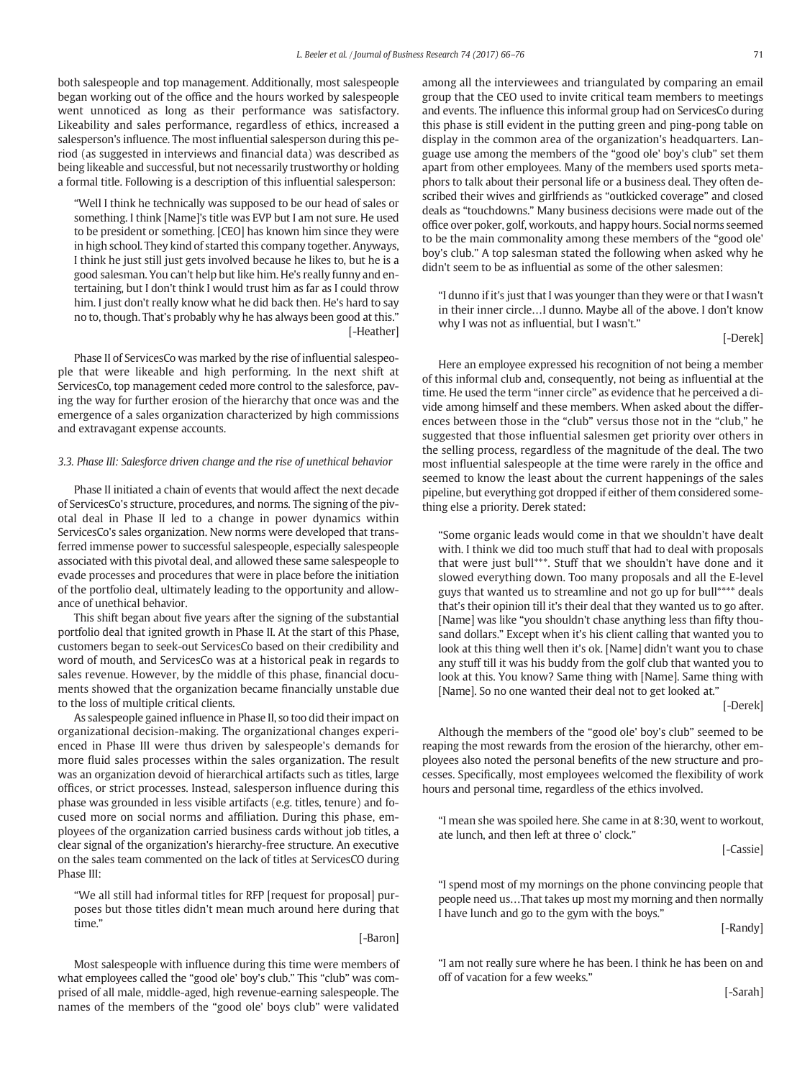both salespeople and top management. Additionally, most salespeople began working out of the office and the hours worked by salespeople went unnoticed as long as their performance was satisfactory. Likeability and sales performance, regardless of ethics, increased a salesperson's influence. The most influential salesperson during this period (as suggested in interviews and financial data) was described as being likeable and successful, but not necessarily trustworthy or holding a formal title. Following is a description of this influential salesperson:

"Well I think he technically was supposed to be our head of sales or something. I think [Name]'s title was EVP but I am not sure. He used to be president or something. [CEO] has known him since they were in high school. They kind of started this company together. Anyways, I think he just still just gets involved because he likes to, but he is a good salesman. You can't help but like him. He's really funny and entertaining, but I don't think I would trust him as far as I could throw him. I just don't really know what he did back then. He's hard to say no to, though. That's probably why he has always been good at this." [-Heather]

Phase II of ServicesCo was marked by the rise of influential salespeople that were likeable and high performing. In the next shift at ServicesCo, top management ceded more control to the salesforce, paving the way for further erosion of the hierarchy that once was and the emergence of a sales organization characterized by high commissions and extravagant expense accounts.

#### 3.3. Phase III: Salesforce driven change and the rise of unethical behavior

Phase II initiated a chain of events that would affect the next decade of ServicesCo's structure, procedures, and norms. The signing of the pivotal deal in Phase II led to a change in power dynamics within ServicesCo's sales organization. New norms were developed that transferred immense power to successful salespeople, especially salespeople associated with this pivotal deal, and allowed these same salespeople to evade processes and procedures that were in place before the initiation of the portfolio deal, ultimately leading to the opportunity and allowance of unethical behavior.

This shift began about five years after the signing of the substantial portfolio deal that ignited growth in Phase II. At the start of this Phase, customers began to seek-out ServicesCo based on their credibility and word of mouth, and ServicesCo was at a historical peak in regards to sales revenue. However, by the middle of this phase, financial documents showed that the organization became financially unstable due to the loss of multiple critical clients.

As salespeople gained influence in Phase II, so too did their impact on organizational decision-making. The organizational changes experienced in Phase III were thus driven by salespeople's demands for more fluid sales processes within the sales organization. The result was an organization devoid of hierarchical artifacts such as titles, large offices, or strict processes. Instead, salesperson influence during this phase was grounded in less visible artifacts (e.g. titles, tenure) and focused more on social norms and affiliation. During this phase, employees of the organization carried business cards without job titles, a clear signal of the organization's hierarchy-free structure. An executive on the sales team commented on the lack of titles at ServicesCO during Phase III:

"We all still had informal titles for RFP [request for proposal] purposes but those titles didn't mean much around here during that time."

#### [-Baron]

Most salespeople with influence during this time were members of what employees called the "good ole' boy's club." This "club" was comprised of all male, middle-aged, high revenue-earning salespeople. The names of the members of the "good ole' boys club" were validated

among all the interviewees and triangulated by comparing an email group that the CEO used to invite critical team members to meetings and events. The influence this informal group had on ServicesCo during this phase is still evident in the putting green and ping-pong table on display in the common area of the organization's headquarters. Language use among the members of the "good ole' boy's club" set them apart from other employees. Many of the members used sports metaphors to talk about their personal life or a business deal. They often described their wives and girlfriends as "outkicked coverage" and closed deals as "touchdowns." Many business decisions were made out of the office over poker, golf, workouts, and happy hours. Social norms seemed to be the main commonality among these members of the "good ole' boy's club." A top salesman stated the following when asked why he didn't seem to be as influential as some of the other salesmen:

"I dunno if it's just that I was younger than they were or that I wasn't in their inner circle…I dunno. Maybe all of the above. I don't know why I was not as influential, but I wasn't."

[-Derek]

Here an employee expressed his recognition of not being a member of this informal club and, consequently, not being as influential at the time. He used the term "inner circle" as evidence that he perceived a divide among himself and these members. When asked about the differences between those in the "club" versus those not in the "club," he suggested that those influential salesmen get priority over others in the selling process, regardless of the magnitude of the deal. The two most influential salespeople at the time were rarely in the office and seemed to know the least about the current happenings of the sales pipeline, but everything got dropped if either of them considered something else a priority. Derek stated:

"Some organic leads would come in that we shouldn't have dealt with. I think we did too much stuff that had to deal with proposals that were just bull\*\*\*. Stuff that we shouldn't have done and it slowed everything down. Too many proposals and all the E-level guys that wanted us to streamline and not go up for bull\*\*\*\* deals that's their opinion till it's their deal that they wanted us to go after. [Name] was like "you shouldn't chase anything less than fifty thousand dollars." Except when it's his client calling that wanted you to look at this thing well then it's ok. [Name] didn't want you to chase any stuff till it was his buddy from the golf club that wanted you to look at this. You know? Same thing with [Name]. Same thing with [Name]. So no one wanted their deal not to get looked at."

[-Derek]

Although the members of the "good ole' boy's club" seemed to be reaping the most rewards from the erosion of the hierarchy, other employees also noted the personal benefits of the new structure and processes. Specifically, most employees welcomed the flexibility of work hours and personal time, regardless of the ethics involved.

"I mean she was spoiled here. She came in at 8:30, went to workout, ate lunch, and then left at three o' clock."

[-Cassie]

"I spend most of my mornings on the phone convincing people that people need us…That takes up most my morning and then normally I have lunch and go to the gym with the boys."

[-Randy]

"I am not really sure where he has been. I think he has been on and off of vacation for a few weeks."

[-Sarah]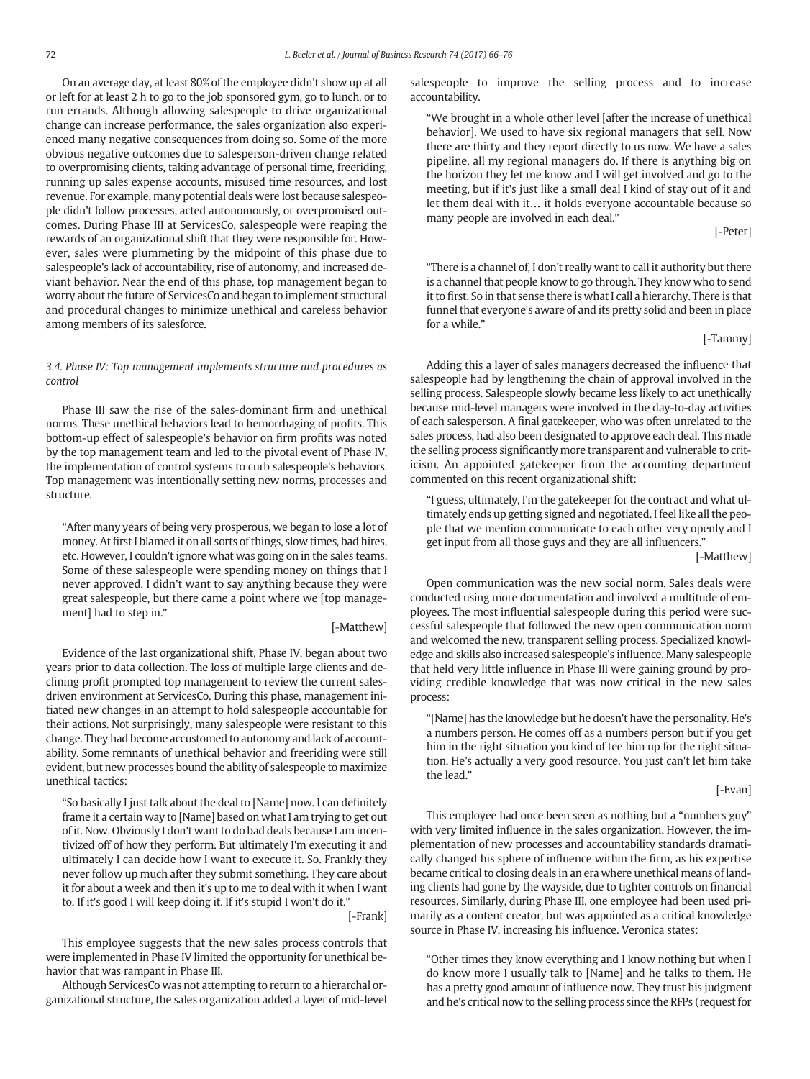On an average day, at least 80% of the employee didn't show up at all or left for at least 2 h to go to the job sponsored gym, go to lunch, or to run errands. Although allowing salespeople to drive organizational change can increase performance, the sales organization also experienced many negative consequences from doing so. Some of the more obvious negative outcomes due to salesperson-driven change related to overpromising clients, taking advantage of personal time, freeriding, running up sales expense accounts, misused time resources, and lost revenue. For example, many potential deals were lost because salespeople didn't follow processes, acted autonomously, or overpromised outcomes. During Phase III at ServicesCo, salespeople were reaping the rewards of an organizational shift that they were responsible for. However, sales were plummeting by the midpoint of this phase due to salespeople's lack of accountability, rise of autonomy, and increased deviant behavior. Near the end of this phase, top management began to worry about the future of ServicesCo and began to implement structural and procedural changes to minimize unethical and careless behavior among members of its salesforce.

# 3.4. Phase IV: Top management implements structure and procedures as control

Phase III saw the rise of the sales-dominant firm and unethical norms. These unethical behaviors lead to hemorrhaging of profits. This bottom-up effect of salespeople's behavior on firm profits was noted by the top management team and led to the pivotal event of Phase IV, the implementation of control systems to curb salespeople's behaviors. Top management was intentionally setting new norms, processes and structure.

"After many years of being very prosperous, we began to lose a lot of money. At first I blamed it on all sorts of things, slow times, bad hires, etc. However, I couldn't ignore what was going on in the sales teams. Some of these salespeople were spending money on things that I never approved. I didn't want to say anything because they were great salespeople, but there came a point where we [top management] had to step in."

#### [-Matthew]

Evidence of the last organizational shift, Phase IV, began about two years prior to data collection. The loss of multiple large clients and declining profit prompted top management to review the current salesdriven environment at ServicesCo. During this phase, management initiated new changes in an attempt to hold salespeople accountable for their actions. Not surprisingly, many salespeople were resistant to this change. They had become accustomed to autonomy and lack of accountability. Some remnants of unethical behavior and freeriding were still evident, but new processes bound the ability of salespeople to maximize unethical tactics:

"So basically I just talk about the deal to [Name] now. I can definitely frame it a certain way to [Name] based on what I am trying to get out of it. Now. Obviously I don't want to do bad deals because I am incentivized off of how they perform. But ultimately I'm executing it and ultimately I can decide how I want to execute it. So. Frankly they never follow up much after they submit something. They care about it for about a week and then it's up to me to deal with it when I want to. If it's good I will keep doing it. If it's stupid I won't do it."

[-Frank]

This employee suggests that the new sales process controls that were implemented in Phase IV limited the opportunity for unethical behavior that was rampant in Phase III.

Although ServicesCo was not attempting to return to a hierarchal organizational structure, the sales organization added a layer of mid-level salespeople to improve the selling process and to increase accountability.

"We brought in a whole other level [after the increase of unethical behavior]. We used to have six regional managers that sell. Now there are thirty and they report directly to us now. We have a sales pipeline, all my regional managers do. If there is anything big on the horizon they let me know and I will get involved and go to the meeting, but if it's just like a small deal I kind of stay out of it and let them deal with it… it holds everyone accountable because so many people are involved in each deal."

[-Peter]

"There is a channel of, I don't really want to call it authority but there is a channel that people know to go through. They know who to send it to first. So in that sense there is what I call a hierarchy. There is that funnel that everyone's aware of and its pretty solid and been in place for a while."

[-Tammy]

Adding this a layer of sales managers decreased the influence that salespeople had by lengthening the chain of approval involved in the selling process. Salespeople slowly became less likely to act unethically because mid-level managers were involved in the day-to-day activities of each salesperson. A final gatekeeper, who was often unrelated to the sales process, had also been designated to approve each deal. This made the selling process significantly more transparent and vulnerable to criticism. An appointed gatekeeper from the accounting department commented on this recent organizational shift:

"I guess, ultimately, I'm the gatekeeper for the contract and what ultimately ends up getting signed and negotiated. I feel like all the people that we mention communicate to each other very openly and I get input from all those guys and they are all influencers."

[-Matthew]

Open communication was the new social norm. Sales deals were conducted using more documentation and involved a multitude of employees. The most influential salespeople during this period were successful salespeople that followed the new open communication norm and welcomed the new, transparent selling process. Specialized knowledge and skills also increased salespeople's influence. Many salespeople that held very little influence in Phase III were gaining ground by providing credible knowledge that was now critical in the new sales process:

"[Name] has the knowledge but he doesn't have the personality. He's a numbers person. He comes off as a numbers person but if you get him in the right situation you kind of tee him up for the right situation. He's actually a very good resource. You just can't let him take the lead."

#### [-Evan]

This employee had once been seen as nothing but a "numbers guy" with very limited influence in the sales organization. However, the implementation of new processes and accountability standards dramatically changed his sphere of influence within the firm, as his expertise became critical to closing deals in an era where unethical means of landing clients had gone by the wayside, due to tighter controls on financial resources. Similarly, during Phase III, one employee had been used primarily as a content creator, but was appointed as a critical knowledge source in Phase IV, increasing his influence. Veronica states:

"Other times they know everything and I know nothing but when I do know more I usually talk to [Name] and he talks to them. He has a pretty good amount of influence now. They trust his judgment and he's critical now to the selling process since the RFPs (request for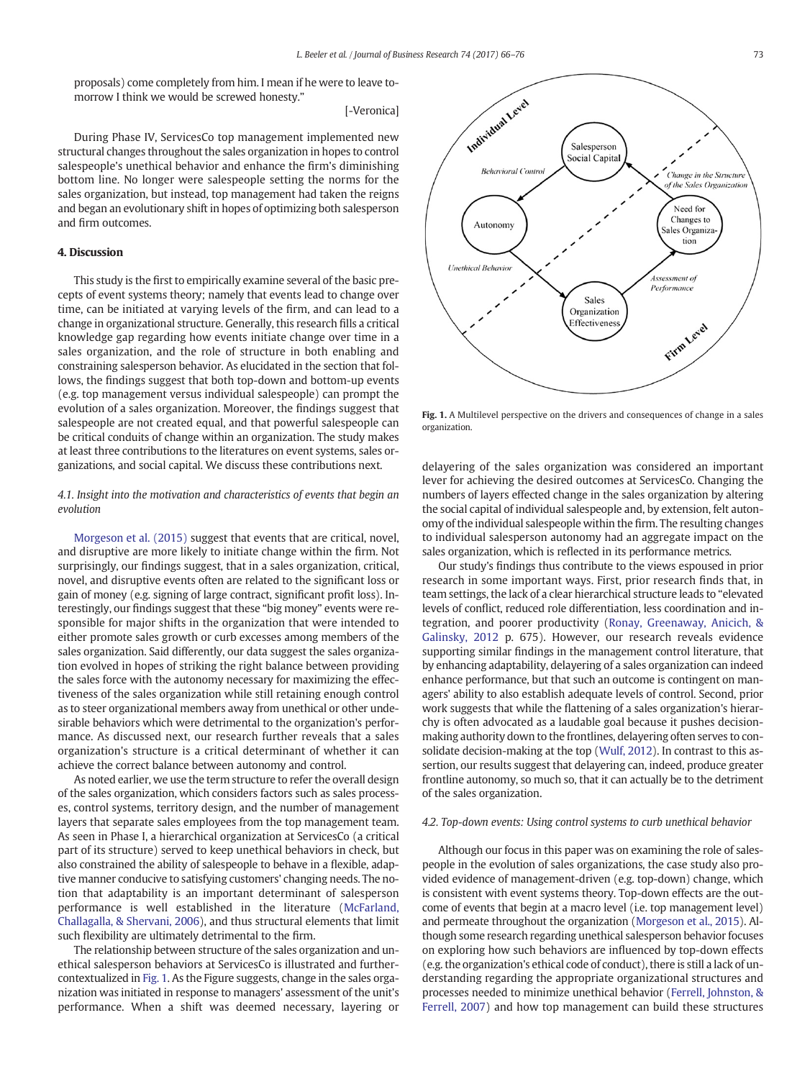proposals) come completely from him. I mean if he were to leave tomorrow I think we would be screwed honesty."

[-Veronica]

During Phase IV, ServicesCo top management implemented new structural changes throughout the sales organization in hopes to control salespeople's unethical behavior and enhance the firm's diminishing bottom line. No longer were salespeople setting the norms for the sales organization, but instead, top management had taken the reigns and began an evolutionary shift in hopes of optimizing both salesperson and firm outcomes.

# 4. Discussion

This study is the first to empirically examine several of the basic precepts of event systems theory; namely that events lead to change over time, can be initiated at varying levels of the firm, and can lead to a change in organizational structure. Generally, this research fills a critical knowledge gap regarding how events initiate change over time in a sales organization, and the role of structure in both enabling and constraining salesperson behavior. As elucidated in the section that follows, the findings suggest that both top-down and bottom-up events (e.g. top management versus individual salespeople) can prompt the evolution of a sales organization. Moreover, the findings suggest that salespeople are not created equal, and that powerful salespeople can be critical conduits of change within an organization. The study makes at least three contributions to the literatures on event systems, sales organizations, and social capital. We discuss these contributions next.

# 4.1. Insight into the motivation and characteristics of events that begin an evolution

[Morgeson et al. \(2015\)](#page-10-0) suggest that events that are critical, novel, and disruptive are more likely to initiate change within the firm. Not surprisingly, our findings suggest, that in a sales organization, critical, novel, and disruptive events often are related to the significant loss or gain of money (e.g. signing of large contract, significant profit loss). Interestingly, our findings suggest that these "big money" events were responsible for major shifts in the organization that were intended to either promote sales growth or curb excesses among members of the sales organization. Said differently, our data suggest the sales organization evolved in hopes of striking the right balance between providing the sales force with the autonomy necessary for maximizing the effectiveness of the sales organization while still retaining enough control as to steer organizational members away from unethical or other undesirable behaviors which were detrimental to the organization's performance. As discussed next, our research further reveals that a sales organization's structure is a critical determinant of whether it can achieve the correct balance between autonomy and control.

As noted earlier, we use the term structure to refer the overall design of the sales organization, which considers factors such as sales processes, control systems, territory design, and the number of management layers that separate sales employees from the top management team. As seen in Phase I, a hierarchical organization at ServicesCo (a critical part of its structure) served to keep unethical behaviors in check, but also constrained the ability of salespeople to behave in a flexible, adaptive manner conducive to satisfying customers' changing needs. The notion that adaptability is an important determinant of salesperson performance is well established in the literature ([McFarland,](#page-10-0) [Challagalla, & Shervani, 2006\)](#page-10-0), and thus structural elements that limit such flexibility are ultimately detrimental to the firm.

The relationship between structure of the sales organization and unethical salesperson behaviors at ServicesCo is illustrated and furthercontextualized in Fig. 1. As the Figure suggests, change in the sales organization was initiated in response to managers' assessment of the unit's performance. When a shift was deemed necessary, layering or



Fig. 1. A Multilevel perspective on the drivers and consequences of change in a sales organization.

delayering of the sales organization was considered an important lever for achieving the desired outcomes at ServicesCo. Changing the numbers of layers effected change in the sales organization by altering the social capital of individual salespeople and, by extension, felt autonomy of the individual salespeople within the firm. The resulting changes to individual salesperson autonomy had an aggregate impact on the sales organization, which is reflected in its performance metrics.

Our study's findings thus contribute to the views espoused in prior research in some important ways. First, prior research finds that, in team settings, the lack of a clear hierarchical structure leads to "elevated levels of conflict, reduced role differentiation, less coordination and integration, and poorer productivity ([Ronay, Greenaway, Anicich, &](#page-10-0) [Galinsky, 2012](#page-10-0) p. 675). However, our research reveals evidence supporting similar findings in the management control literature, that by enhancing adaptability, delayering of a sales organization can indeed enhance performance, but that such an outcome is contingent on managers' ability to also establish adequate levels of control. Second, prior work suggests that while the flattening of a sales organization's hierarchy is often advocated as a laudable goal because it pushes decisionmaking authority down to the frontlines, delayering often serves to consolidate decision-making at the top ([Wulf, 2012\)](#page-10-0). In contrast to this assertion, our results suggest that delayering can, indeed, produce greater frontline autonomy, so much so, that it can actually be to the detriment of the sales organization.

#### 4.2. Top-down events: Using control systems to curb unethical behavior

Although our focus in this paper was on examining the role of salespeople in the evolution of sales organizations, the case study also provided evidence of management-driven (e.g. top-down) change, which is consistent with event systems theory. Top-down effects are the outcome of events that begin at a macro level (i.e. top management level) and permeate throughout the organization ([Morgeson et al., 2015\)](#page-10-0). Although some research regarding unethical salesperson behavior focuses on exploring how such behaviors are influenced by top-down effects (e.g. the organization's ethical code of conduct), there is still a lack of understanding regarding the appropriate organizational structures and processes needed to minimize unethical behavior ([Ferrell, Johnston, &](#page-9-0) [Ferrell, 2007](#page-9-0)) and how top management can build these structures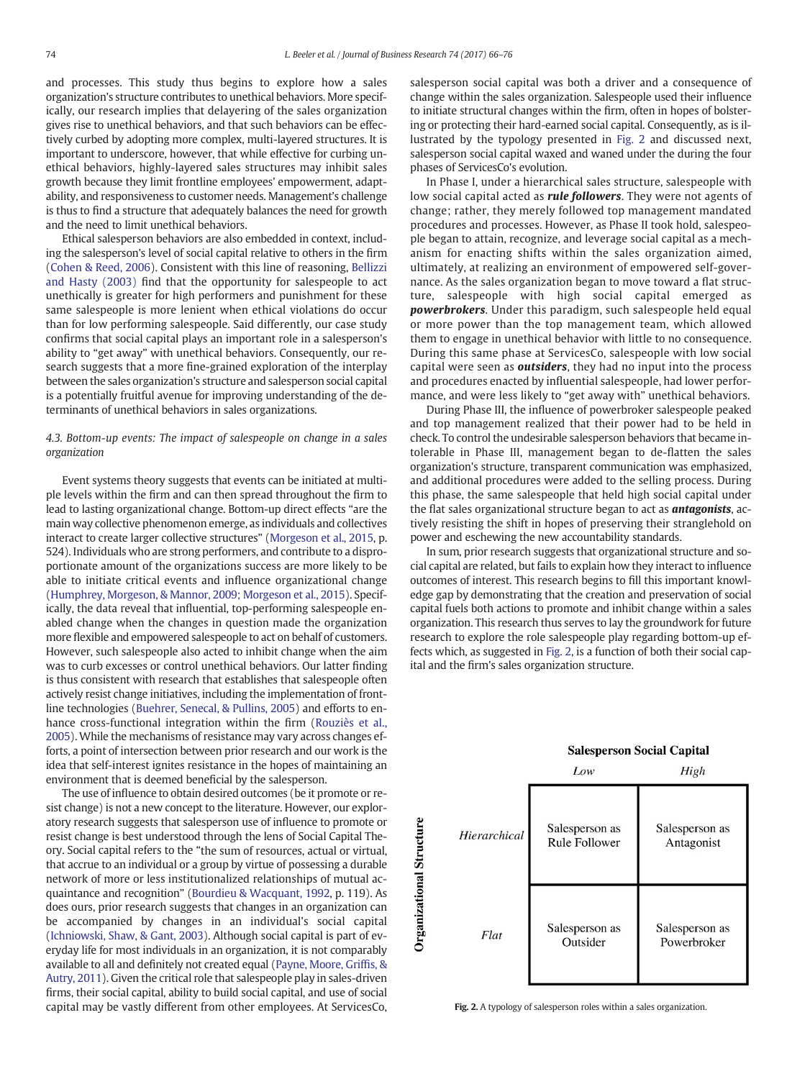and processes. This study thus begins to explore how a sales organization's structure contributes to unethical behaviors. More specifically, our research implies that delayering of the sales organization gives rise to unethical behaviors, and that such behaviors can be effectively curbed by adopting more complex, multi-layered structures. It is important to underscore, however, that while effective for curbing unethical behaviors, highly-layered sales structures may inhibit sales growth because they limit frontline employees' empowerment, adaptability, and responsiveness to customer needs. Management's challenge is thus to find a structure that adequately balances the need for growth and the need to limit unethical behaviors.

Ethical salesperson behaviors are also embedded in context, including the salesperson's level of social capital relative to others in the firm [\(Cohen & Reed, 2006\)](#page-9-0). Consistent with this line of reasoning, [Bellizzi](#page-9-0) [and Hasty \(2003\)](#page-9-0) find that the opportunity for salespeople to act unethically is greater for high performers and punishment for these same salespeople is more lenient when ethical violations do occur than for low performing salespeople. Said differently, our case study confirms that social capital plays an important role in a salesperson's ability to "get away" with unethical behaviors. Consequently, our research suggests that a more fine-grained exploration of the interplay between the sales organization's structure and salesperson social capital is a potentially fruitful avenue for improving understanding of the determinants of unethical behaviors in sales organizations.

# 4.3. Bottom-up events: The impact of salespeople on change in a sales organization

Event systems theory suggests that events can be initiated at multiple levels within the firm and can then spread throughout the firm to lead to lasting organizational change. Bottom-up direct effects "are the main way collective phenomenon emerge, as individuals and collectives interact to create larger collective structures" ([Morgeson et al., 2015,](#page-10-0) p. 524). Individuals who are strong performers, and contribute to a disproportionate amount of the organizations success are more likely to be able to initiate critical events and influence organizational change [\(Humphrey, Morgeson, & Mannor, 2009; Morgeson et al., 2015\)](#page-9-0). Specifically, the data reveal that influential, top-performing salespeople enabled change when the changes in question made the organization more flexible and empowered salespeople to act on behalf of customers. However, such salespeople also acted to inhibit change when the aim was to curb excesses or control unethical behaviors. Our latter finding is thus consistent with research that establishes that salespeople often actively resist change initiatives, including the implementation of frontline technologies [\(Buehrer, Senecal, & Pullins, 2005\)](#page-9-0) and efforts to enhance cross-functional integration within the firm [\(Rouziès et al.,](#page-10-0) [2005\)](#page-10-0). While the mechanisms of resistance may vary across changes efforts, a point of intersection between prior research and our work is the idea that self-interest ignites resistance in the hopes of maintaining an environment that is deemed beneficial by the salesperson.

The use of influence to obtain desired outcomes (be it promote or resist change) is not a new concept to the literature. However, our exploratory research suggests that salesperson use of influence to promote or resist change is best understood through the lens of Social Capital Theory. Social capital refers to the "the sum of resources, actual or virtual, that accrue to an individual or a group by virtue of possessing a durable network of more or less institutionalized relationships of mutual acquaintance and recognition" [\(Bourdieu & Wacquant, 1992,](#page-9-0) p. 119). As does ours, prior research suggests that changes in an organization can be accompanied by changes in an individual's social capital [\(Ichniowski, Shaw, & Gant, 2003](#page-9-0)). Although social capital is part of everyday life for most individuals in an organization, it is not comparably available to all and definitely not created equal ([Payne, Moore, Grif](#page-10-0)fis, & [Autry, 2011\)](#page-10-0). Given the critical role that salespeople play in sales-driven firms, their social capital, ability to build social capital, and use of social capital may be vastly different from other employees. At ServicesCo, salesperson social capital was both a driver and a consequence of change within the sales organization. Salespeople used their influence to initiate structural changes within the firm, often in hopes of bolstering or protecting their hard-earned social capital. Consequently, as is illustrated by the typology presented in Fig. 2 and discussed next, salesperson social capital waxed and waned under the during the four phases of ServicesCo's evolution.

In Phase I, under a hierarchical sales structure, salespeople with low social capital acted as *rule followers*. They were not agents of change; rather, they merely followed top management mandated procedures and processes. However, as Phase II took hold, salespeople began to attain, recognize, and leverage social capital as a mechanism for enacting shifts within the sales organization aimed, ultimately, at realizing an environment of empowered self-governance. As the sales organization began to move toward a flat structure, salespeople with high social capital emerged as **powerbrokers**. Under this paradigm, such salespeople held equal or more power than the top management team, which allowed them to engage in unethical behavior with little to no consequence. During this same phase at ServicesCo, salespeople with low social capital were seen as **outsiders**, they had no input into the process and procedures enacted by influential salespeople, had lower performance, and were less likely to "get away with" unethical behaviors.

During Phase III, the influence of powerbroker salespeople peaked and top management realized that their power had to be held in check. To control the undesirable salesperson behaviors that became intolerable in Phase III, management began to de-flatten the sales organization's structure, transparent communication was emphasized, and additional procedures were added to the selling process. During this phase, the same salespeople that held high social capital under the flat sales organizational structure began to act as *antagonists*, actively resisting the shift in hopes of preserving their stranglehold on power and eschewing the new accountability standards.

In sum, prior research suggests that organizational structure and social capital are related, but fails to explain how they interact to influence outcomes of interest. This research begins to fill this important knowledge gap by demonstrating that the creation and preservation of social capital fuels both actions to promote and inhibit change within a sales organization. This research thus serves to lay the groundwork for future research to explore the role salespeople play regarding bottom-up effects which, as suggested in Fig. 2, is a function of both their social capital and the firm's sales organization structure.



Fig. 2. A typology of salesperson roles within a sales organization.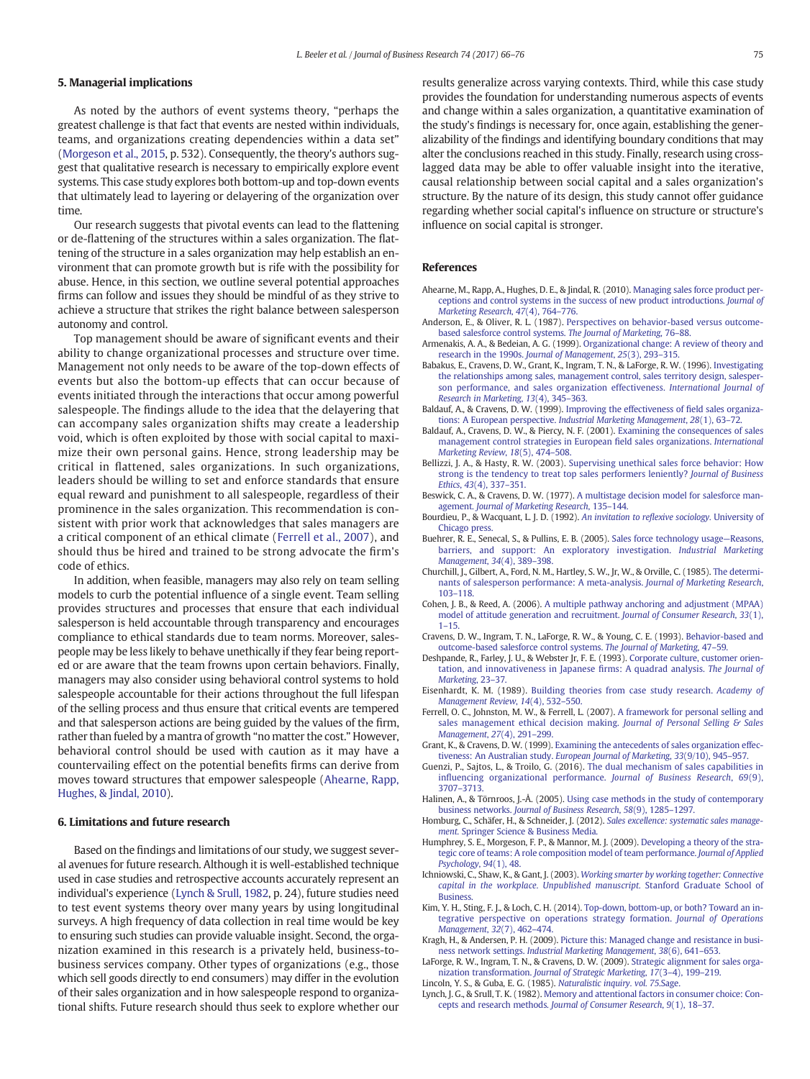### <span id="page-9-0"></span>5. Managerial implications

As noted by the authors of event systems theory, "perhaps the greatest challenge is that fact that events are nested within individuals, teams, and organizations creating dependencies within a data set" [\(Morgeson et al., 2015](#page-10-0), p. 532). Consequently, the theory's authors suggest that qualitative research is necessary to empirically explore event systems. This case study explores both bottom-up and top-down events that ultimately lead to layering or delayering of the organization over time.

Our research suggests that pivotal events can lead to the flattening or de-flattening of the structures within a sales organization. The flattening of the structure in a sales organization may help establish an environment that can promote growth but is rife with the possibility for abuse. Hence, in this section, we outline several potential approaches firms can follow and issues they should be mindful of as they strive to achieve a structure that strikes the right balance between salesperson autonomy and control.

Top management should be aware of significant events and their ability to change organizational processes and structure over time. Management not only needs to be aware of the top-down effects of events but also the bottom-up effects that can occur because of events initiated through the interactions that occur among powerful salespeople. The findings allude to the idea that the delayering that can accompany sales organization shifts may create a leadership void, which is often exploited by those with social capital to maximize their own personal gains. Hence, strong leadership may be critical in flattened, sales organizations. In such organizations, leaders should be willing to set and enforce standards that ensure equal reward and punishment to all salespeople, regardless of their prominence in the sales organization. This recommendation is consistent with prior work that acknowledges that sales managers are a critical component of an ethical climate (Ferrell et al., 2007), and should thus be hired and trained to be strong advocate the firm's code of ethics.

In addition, when feasible, managers may also rely on team selling models to curb the potential influence of a single event. Team selling provides structures and processes that ensure that each individual salesperson is held accountable through transparency and encourages compliance to ethical standards due to team norms. Moreover, salespeople may be less likely to behave unethically if they fear being reported or are aware that the team frowns upon certain behaviors. Finally, managers may also consider using behavioral control systems to hold salespeople accountable for their actions throughout the full lifespan of the selling process and thus ensure that critical events are tempered and that salesperson actions are being guided by the values of the firm, rather than fueled by a mantra of growth "no matter the cost." However, behavioral control should be used with caution as it may have a countervailing effect on the potential benefits firms can derive from moves toward structures that empower salespeople (Ahearne, Rapp, Hughes, & Jindal, 2010).

#### 6. Limitations and future research

Based on the findings and limitations of our study, we suggest several avenues for future research. Although it is well-established technique used in case studies and retrospective accounts accurately represent an individual's experience (Lynch & Srull, 1982, p. 24), future studies need to test event systems theory over many years by using longitudinal surveys. A high frequency of data collection in real time would be key to ensuring such studies can provide valuable insight. Second, the organization examined in this research is a privately held, business-tobusiness services company. Other types of organizations (e.g., those which sell goods directly to end consumers) may differ in the evolution of their sales organization and in how salespeople respond to organizational shifts. Future research should thus seek to explore whether our results generalize across varying contexts. Third, while this case study provides the foundation for understanding numerous aspects of events and change within a sales organization, a quantitative examination of the study's findings is necessary for, once again, establishing the generalizability of the findings and identifying boundary conditions that may alter the conclusions reached in this study. Finally, research using crosslagged data may be able to offer valuable insight into the iterative, causal relationship between social capital and a sales organization's structure. By the nature of its design, this study cannot offer guidance regarding whether social capital's influence on structure or structure's influence on social capital is stronger.

## References

- Ahearne, M., Rapp, A., Hughes, D. E., & Jindal, R. (2010). [Managing sales force product per](http://refhub.elsevier.com/S0148-2963(17)30024-3/rf0005)[ceptions and control systems in the success of new product introductions.](http://refhub.elsevier.com/S0148-2963(17)30024-3/rf0005) Journal of [Marketing Research](http://refhub.elsevier.com/S0148-2963(17)30024-3/rf0005), 47(4), 764–776.
- Anderson, E., & Oliver, R. L. (1987). [Perspectives on behavior-based versus outcome](http://refhub.elsevier.com/S0148-2963(17)30024-3/rf0010)[based salesforce control systems.](http://refhub.elsevier.com/S0148-2963(17)30024-3/rf0010) The Journal of Marketing, 76–88.
- Armenakis, A. A., & Bedeian, A. G. (1999). [Organizational change: A review of theory and](http://refhub.elsevier.com/S0148-2963(17)30024-3/rf0015) research in the 1990s. [Journal of Management](http://refhub.elsevier.com/S0148-2963(17)30024-3/rf0015), 25(3), 293–315.
- Babakus, E., Cravens, D. W., Grant, K., Ingram, T. N., & LaForge, R. W. (1996). [Investigating](http://refhub.elsevier.com/S0148-2963(17)30024-3/rf0020) [the relationships among sales, management control, sales territory design, salesper](http://refhub.elsevier.com/S0148-2963(17)30024-3/rf0020)[son performance, and sales organization effectiveness.](http://refhub.elsevier.com/S0148-2963(17)30024-3/rf0020) International Journal of [Research in Marketing](http://refhub.elsevier.com/S0148-2963(17)30024-3/rf0020), 13(4), 345–363.
- Baldauf, A., & Cravens, D. W. (1999). [Improving the effectiveness of](http://refhub.elsevier.com/S0148-2963(17)30024-3/rf0025) field sales organizations: A European perspective. [Industrial Marketing Management](http://refhub.elsevier.com/S0148-2963(17)30024-3/rf0025), 28(1), 63–72.
- Baldauf, A., Cravens, D. W., & Piercy, N. F. (2001). [Examining the consequences of sales](http://refhub.elsevier.com/S0148-2963(17)30024-3/rf0030) [management control strategies in European](http://refhub.elsevier.com/S0148-2963(17)30024-3/rf0030) field sales organizations. International [Marketing Review](http://refhub.elsevier.com/S0148-2963(17)30024-3/rf0030), 18(5), 474-508.
- Bellizzi, J. A., & Hasty, R. W. (2003). [Supervising unethical sales force behavior: How](http://refhub.elsevier.com/S0148-2963(17)30024-3/rf0035) [strong is the tendency to treat top sales performers leniently?](http://refhub.elsevier.com/S0148-2963(17)30024-3/rf0035) Journal of Business Ethics, 43[\(4\), 337](http://refhub.elsevier.com/S0148-2963(17)30024-3/rf0035)–351.
- Beswick, C. A., & Cravens, D. W. (1977). [A multistage decision model for salesforce man](http://refhub.elsevier.com/S0148-2963(17)30024-3/rf0040)agement. [Journal of Marketing Research](http://refhub.elsevier.com/S0148-2963(17)30024-3/rf0040), 135–144.
- Bourdieu, P., & Wacquant, L. J. D. (1992). [An invitation to re](http://refhub.elsevier.com/S0148-2963(17)30024-3/rf0045)flexive sociology. University of [Chicago press.](http://refhub.elsevier.com/S0148-2963(17)30024-3/rf0045)
- Buehrer, R. E., Senecal, S., & Pullins, E. B. (2005). [Sales force technology usage](http://refhub.elsevier.com/S0148-2963(17)30024-3/rf0050)—Reasons, [barriers, and support: An exploratory investigation.](http://refhub.elsevier.com/S0148-2963(17)30024-3/rf0050) Industrial Marketing [Management](http://refhub.elsevier.com/S0148-2963(17)30024-3/rf0050), 34(4), 389–398.
- Churchill, J., Gilbert, A., Ford, N. M., Hartley, S. W., Jr, W., & Orville, C. (1985). [The determi](http://refhub.elsevier.com/S0148-2963(17)30024-3/rf0055)[nants of salesperson performance: A meta-analysis.](http://refhub.elsevier.com/S0148-2963(17)30024-3/rf0055) Journal of Marketing Research, 103–[118.](http://refhub.elsevier.com/S0148-2963(17)30024-3/rf0055)
- Cohen, J. B., & Reed, A. (2006). [A multiple pathway anchoring and adjustment \(MPAA\)](http://refhub.elsevier.com/S0148-2963(17)30024-3/rf0060) [model of attitude generation and recruitment.](http://refhub.elsevier.com/S0148-2963(17)30024-3/rf0060) Journal of Consumer Research, 33(1), 1–[15.](http://refhub.elsevier.com/S0148-2963(17)30024-3/rf0060)
- Cravens, D. W., Ingram, T. N., LaForge, R. W., & Young, C. E. (1993). [Behavior-based and](http://refhub.elsevier.com/S0148-2963(17)30024-3/rf0065) [outcome-based salesforce control systems.](http://refhub.elsevier.com/S0148-2963(17)30024-3/rf0065) The Journal of Marketing, 47–59.
- Deshpande, R., Farley, J. U., & Webster Jr, F. E. (1993). [Corporate culture, customer orien](http://refhub.elsevier.com/S0148-2963(17)30024-3/rf0070)[tation, and innovativeness in Japanese](http://refhub.elsevier.com/S0148-2963(17)30024-3/rf0070) firms: A quadrad analysis. The Journal of [Marketing](http://refhub.elsevier.com/S0148-2963(17)30024-3/rf0070), 23–37.
- Eisenhardt, K. M. (1989). [Building theories from case study research.](http://refhub.elsevier.com/S0148-2963(17)30024-3/rf0075) Academy of [Management Review](http://refhub.elsevier.com/S0148-2963(17)30024-3/rf0075), 14(4), 532–550.
- Ferrell, O. C., Johnston, M. W., & Ferrell, L. (2007). [A framework for personal selling and](http://refhub.elsevier.com/S0148-2963(17)30024-3/rf0080) [sales management ethical decision making.](http://refhub.elsevier.com/S0148-2963(17)30024-3/rf0080) Journal of Personal Selling & Sales [Management](http://refhub.elsevier.com/S0148-2963(17)30024-3/rf0080), 27(4), 291–299.
- Grant, K., & Cravens, D. W. (1999). [Examining the antecedents of sales organization effec](http://refhub.elsevier.com/S0148-2963(17)30024-3/rf0085)[tiveness: An Australian study.](http://refhub.elsevier.com/S0148-2963(17)30024-3/rf0085) European Journal of Marketing, 33(9/10), 945–957.
- Guenzi, P., Sajtos, L., & Troilo, G. (2016). [The dual mechanism of sales capabilities in](http://refhub.elsevier.com/S0148-2963(17)30024-3/rf0090) infl[uencing organizational performance.](http://refhub.elsevier.com/S0148-2963(17)30024-3/rf0090) Journal of Business Research, 69(9), 3707–[3713.](http://refhub.elsevier.com/S0148-2963(17)30024-3/rf0090)
- Halinen, A., & Törnroos, J.-Å. (2005). [Using case methods in the study of contemporary](http://refhub.elsevier.com/S0148-2963(17)30024-3/rf0095) business networks. [Journal of Business Research](http://refhub.elsevier.com/S0148-2963(17)30024-3/rf0095), 58(9), 1285–1297.
- Homburg, C., Schäfer, H., & Schneider, J. (2012). [Sales excellence: systematic sales manage](http://refhub.elsevier.com/S0148-2963(17)30024-3/rf0100)ment. [Springer Science & Business Media.](http://refhub.elsevier.com/S0148-2963(17)30024-3/rf0100)
- Humphrey, S. E., Morgeson, F. P., & Mannor, M. J. (2009). [Developing a theory of the stra](http://refhub.elsevier.com/S0148-2963(17)30024-3/rf0105)[tegic core of teams: A role composition model of team performance.](http://refhub.elsevier.com/S0148-2963(17)30024-3/rf0105) Journal of Applied [Psychology](http://refhub.elsevier.com/S0148-2963(17)30024-3/rf0105), 94(1), 48.
- Ichniowski, C., Shaw, K., & Gant, J. (2003). [Working smarter by working together: Connective](http://refhub.elsevier.com/S0148-2963(17)30024-3/rf0110) [capital in the workplace. Unpublished manuscript.](http://refhub.elsevier.com/S0148-2963(17)30024-3/rf0110) Stanford Graduate School of **Business**
- Kim, Y. H., Sting, F. J., & Loch, C. H. (2014). [Top-down, bottom-up, or both? Toward an in](http://refhub.elsevier.com/S0148-2963(17)30024-3/rf0115)[tegrative perspective on operations strategy formation.](http://refhub.elsevier.com/S0148-2963(17)30024-3/rf0115) Journal of Operations [Management](http://refhub.elsevier.com/S0148-2963(17)30024-3/rf0115), 32(7), 462–474.
- Kragh, H., & Andersen, P. H. (2009). [Picture this: Managed change and resistance in busi](http://refhub.elsevier.com/S0148-2963(17)30024-3/rf0120)ness network settings. [Industrial Marketing Management](http://refhub.elsevier.com/S0148-2963(17)30024-3/rf0120), 38(6), 641–653.
- LaForge, R. W., Ingram, T. N., & Cravens, D. W. (2009). [Strategic alignment for sales orga](http://refhub.elsevier.com/S0148-2963(17)30024-3/rf0125)nization transformation. [Journal of Strategic Marketing](http://refhub.elsevier.com/S0148-2963(17)30024-3/rf0125), 17(3–4), 199–219.
- Lincoln, Y. S., & Guba, E. G. (1985). [Naturalistic inquiry. vol. 75](http://refhub.elsevier.com/S0148-2963(17)30024-3/rf0130).Sage.
- Lynch, J. G., & Srull, T. K. (1982). [Memory and attentional factors in consumer choice: Con](http://refhub.elsevier.com/S0148-2963(17)30024-3/rf0135)cepts and research methods. [Journal of Consumer Research](http://refhub.elsevier.com/S0148-2963(17)30024-3/rf0135), 9(1), 18–37.